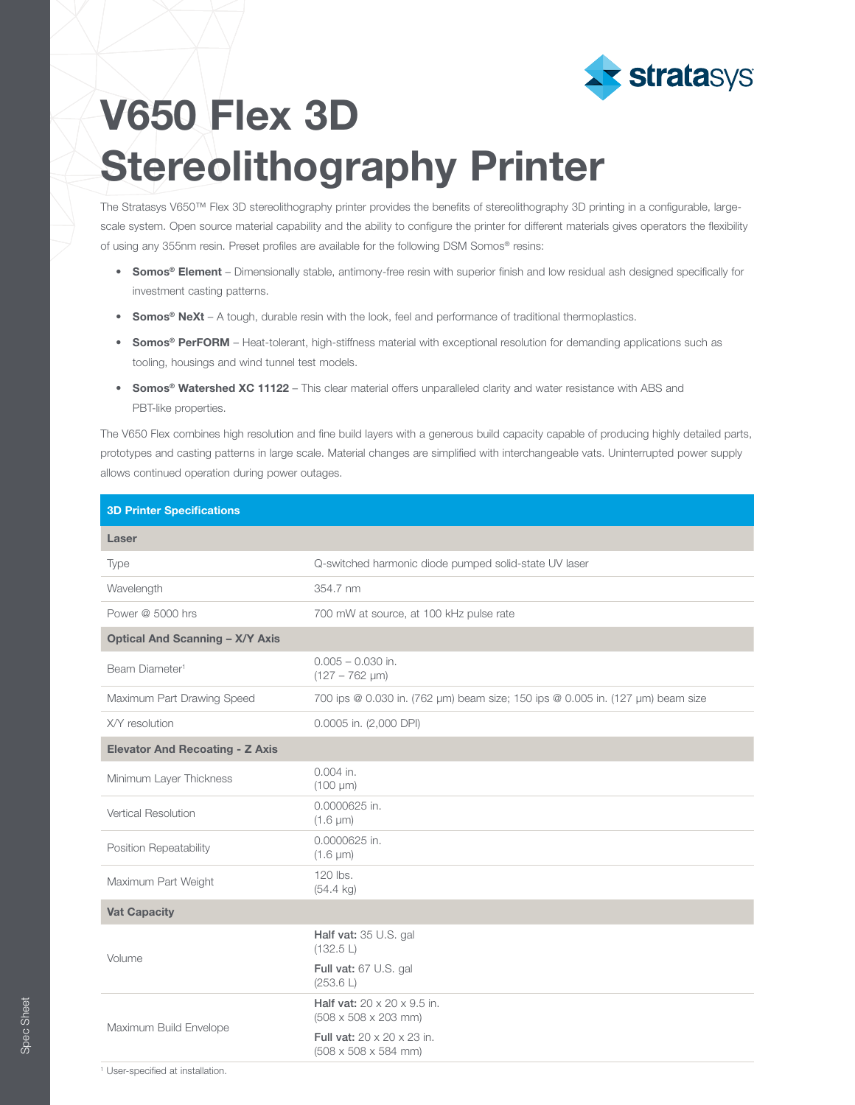

## V650 Flex 3D Stereolithography Printer

The Stratasys V650™ Flex 3D stereolithography printer provides the benefits of stereolithography 3D printing in a configurable, largescale system. Open source material capability and the ability to configure the printer for different materials gives operators the flexibility of using any 355nm resin. Preset profiles are available for the following DSM Somos® resins:

- Somos® Element Dimensionally stable, antimony-free resin with superior finish and low residual ash designed specifically for investment casting patterns.
- Somos<sup>®</sup> NeXt A tough, durable resin with the look, feel and performance of traditional thermoplastics.
- Somos® PerFORM Heat-tolerant, high-stiffness material with exceptional resolution for demanding applications such as tooling, housings and wind tunnel test models.
- Somos® Watershed XC 11122 This clear material offers unparalleled clarity and water resistance with ABS and PBT-like properties.

The V650 Flex combines high resolution and fine build layers with a generous build capacity capable of producing highly detailed parts, prototypes and casting patterns in large scale. Material changes are simplified with interchangeable vats. Uninterrupted power supply allows continued operation during power outages.

| Q-switched harmonic diode pumped solid-state UV laser                               |
|-------------------------------------------------------------------------------------|
| 354.7 nm                                                                            |
| 700 mW at source, at 100 kHz pulse rate                                             |
|                                                                                     |
| $0.005 - 0.030$ in.<br>$(127 - 762 \mu m)$                                          |
| 700 ips @ 0.030 in. (762 µm) beam size; 150 ips @ 0.005 in. (127 µm) beam size      |
| 0.0005 in. (2,000 DPI)                                                              |
|                                                                                     |
| $0.004$ in.<br>$(100 \mu m)$                                                        |
| 0.0000625 in.<br>$(1.6 \mu m)$                                                      |
| 0.0000625 in.<br>$(1.6 \mu m)$                                                      |
| 120 lbs.<br>$(54.4 \text{ kg})$                                                     |
|                                                                                     |
| Half vat: $35$ U.S. gal<br>(132.5 L)                                                |
| Full vat: 67 U.S. gal<br>(253.6 L)                                                  |
| Half vat: $20 \times 20 \times 9.5$ in.<br>$(508 \times 508 \times 203 \text{ mm})$ |
| Full vat: 20 x 20 x 23 in.<br>$(508 \times 508 \times 584$ mm)                      |
|                                                                                     |

Spec Sheet

Spec Shee